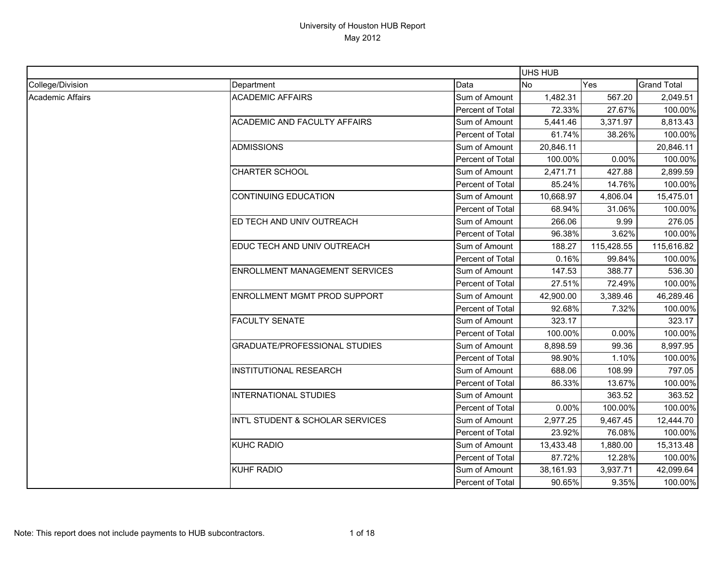|                         |                                       |                  | UHS HUB   |            |                    |
|-------------------------|---------------------------------------|------------------|-----------|------------|--------------------|
| College/Division        | Department                            | Data             | No        | Yes        | <b>Grand Total</b> |
| <b>Academic Affairs</b> | <b>ACADEMIC AFFAIRS</b>               | Sum of Amount    | 1,482.31  | 567.20     | 2,049.51           |
|                         |                                       | Percent of Total | 72.33%    | 27.67%     | 100.00%            |
|                         | <b>ACADEMIC AND FACULTY AFFAIRS</b>   | Sum of Amount    | 5,441.46  | 3,371.97   | 8,813.43           |
|                         |                                       | Percent of Total | 61.74%    | 38.26%     | 100.00%            |
|                         | <b>ADMISSIONS</b>                     | Sum of Amount    | 20,846.11 |            | 20,846.11          |
|                         |                                       | Percent of Total | 100.00%   | 0.00%      | 100.00%            |
|                         | <b>CHARTER SCHOOL</b>                 | Sum of Amount    | 2,471.71  | 427.88     | 2,899.59           |
|                         |                                       | Percent of Total | 85.24%    | 14.76%     | 100.00%            |
|                         | <b>CONTINUING EDUCATION</b>           | Sum of Amount    | 10,668.97 | 4,806.04   | 15,475.01          |
|                         |                                       | Percent of Total | 68.94%    | 31.06%     | 100.00%            |
|                         | ED TECH AND UNIV OUTREACH             | Sum of Amount    | 266.06    | 9.99       | 276.05             |
|                         |                                       | Percent of Total | 96.38%    | 3.62%      | 100.00%            |
|                         | EDUC TECH AND UNIV OUTREACH           | Sum of Amount    | 188.27    | 115,428.55 | 115,616.82         |
|                         |                                       | Percent of Total | 0.16%     | 99.84%     | 100.00%            |
|                         | <b>ENROLLMENT MANAGEMENT SERVICES</b> | Sum of Amount    | 147.53    | 388.77     | 536.30             |
|                         |                                       | Percent of Total | 27.51%    | 72.49%     | 100.00%            |
|                         | <b>ENROLLMENT MGMT PROD SUPPORT</b>   | Sum of Amount    | 42,900.00 | 3,389.46   | 46,289.46          |
|                         |                                       | Percent of Total | 92.68%    | 7.32%      | 100.00%            |
|                         | <b>FACULTY SENATE</b>                 | Sum of Amount    | 323.17    |            | 323.17             |
|                         |                                       | Percent of Total | 100.00%   | 0.00%      | 100.00%            |
|                         | <b>GRADUATE/PROFESSIONAL STUDIES</b>  | Sum of Amount    | 8,898.59  | 99.36      | 8,997.95           |
|                         |                                       | Percent of Total | 98.90%    | 1.10%      | 100.00%            |
|                         | <b>INSTITUTIONAL RESEARCH</b>         | Sum of Amount    | 688.06    | 108.99     | 797.05             |
|                         |                                       | Percent of Total | 86.33%    | 13.67%     | 100.00%            |
|                         | INTERNATIONAL STUDIES                 | Sum of Amount    |           | 363.52     | 363.52             |
|                         |                                       | Percent of Total | 0.00%     | 100.00%    | 100.00%            |
|                         | INT'L STUDENT & SCHOLAR SERVICES      | Sum of Amount    | 2,977.25  | 9,467.45   | 12,444.70          |
|                         |                                       | Percent of Total | 23.92%    | 76.08%     | 100.00%            |
|                         | <b>KUHC RADIO</b>                     | Sum of Amount    | 13,433.48 | 1,880.00   | 15,313.48          |
|                         |                                       | Percent of Total | 87.72%    | 12.28%     | 100.00%            |
|                         | <b>KUHF RADIO</b>                     | Sum of Amount    | 38,161.93 | 3,937.71   | 42,099.64          |
|                         |                                       | Percent of Total | 90.65%    | 9.35%      | 100.00%            |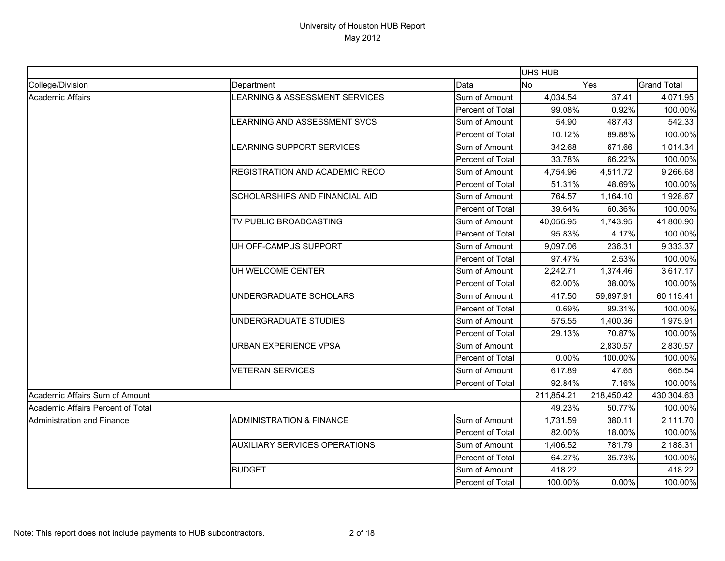|                                   |                                       |                         | <b>UHS HUB</b> |            |                    |
|-----------------------------------|---------------------------------------|-------------------------|----------------|------------|--------------------|
| College/Division                  | Department                            | Data                    | <b>No</b>      | Yes        | <b>Grand Total</b> |
| <b>Academic Affairs</b>           | LEARNING & ASSESSMENT SERVICES        | Sum of Amount           | 4,034.54       | 37.41      | 4,071.95           |
|                                   |                                       | Percent of Total        | 99.08%         | 0.92%      | 100.00%            |
|                                   | LEARNING AND ASSESSMENT SVCS          | Sum of Amount           | 54.90          | 487.43     | 542.33             |
|                                   |                                       | Percent of Total        | 10.12%         | 89.88%     | 100.00%            |
|                                   | LEARNING SUPPORT SERVICES             | Sum of Amount           | 342.68         | 671.66     | 1,014.34           |
|                                   |                                       | Percent of Total        | 33.78%         | 66.22%     | 100.00%            |
|                                   | <b>REGISTRATION AND ACADEMIC RECO</b> | Sum of Amount           | 4,754.96       | 4,511.72   | 9,266.68           |
|                                   |                                       | Percent of Total        | 51.31%         | 48.69%     | 100.00%            |
|                                   | SCHOLARSHIPS AND FINANCIAL AID        | Sum of Amount           | 764.57         | 1,164.10   | 1,928.67           |
|                                   |                                       | Percent of Total        | 39.64%         | 60.36%     | 100.00%            |
|                                   | TV PUBLIC BROADCASTING                | Sum of Amount           | 40,056.95      | 1,743.95   | 41,800.90          |
|                                   |                                       | Percent of Total        | 95.83%         | 4.17%      | 100.00%            |
|                                   | UH OFF-CAMPUS SUPPORT                 | Sum of Amount           | 9,097.06       | 236.31     | 9,333.37           |
|                                   |                                       | Percent of Total        | 97.47%         | 2.53%      | 100.00%            |
|                                   | UH WELCOME CENTER                     | Sum of Amount           | 2,242.71       | 1,374.46   | 3,617.17           |
|                                   |                                       | Percent of Total        | 62.00%         | 38.00%     | 100.00%            |
|                                   | UNDERGRADUATE SCHOLARS                | Sum of Amount           | 417.50         | 59,697.91  | 60,115.41          |
|                                   |                                       | Percent of Total        | 0.69%          | 99.31%     | 100.00%            |
|                                   | UNDERGRADUATE STUDIES                 | Sum of Amount           | 575.55         | 1,400.36   | 1,975.91           |
|                                   |                                       | Percent of Total        | 29.13%         | 70.87%     | 100.00%            |
|                                   | <b>URBAN EXPERIENCE VPSA</b>          | Sum of Amount           |                | 2,830.57   | 2,830.57           |
|                                   |                                       | Percent of Total        | 0.00%          | 100.00%    | 100.00%            |
|                                   | <b>VETERAN SERVICES</b>               | Sum of Amount           | 617.89         | 47.65      | 665.54             |
|                                   |                                       | Percent of Total        | 92.84%         | 7.16%      | 100.00%            |
| Academic Affairs Sum of Amount    |                                       |                         | 211,854.21     | 218,450.42 | 430,304.63         |
| Academic Affairs Percent of Total |                                       |                         | 49.23%         | 50.77%     | 100.00%            |
| Administration and Finance        | <b>ADMINISTRATION &amp; FINANCE</b>   | Sum of Amount           | 1,731.59       | 380.11     | 2,111.70           |
|                                   |                                       | <b>Percent of Total</b> | 82.00%         | 18.00%     | 100.00%            |
|                                   | <b>AUXILIARY SERVICES OPERATIONS</b>  | Sum of Amount           | 1,406.52       | 781.79     | 2,188.31           |
|                                   |                                       | Percent of Total        | 64.27%         | 35.73%     | 100.00%            |
|                                   | <b>BUDGET</b>                         | Sum of Amount           | 418.22         |            | 418.22             |
|                                   |                                       | Percent of Total        | 100.00%        | 0.00%      | 100.00%            |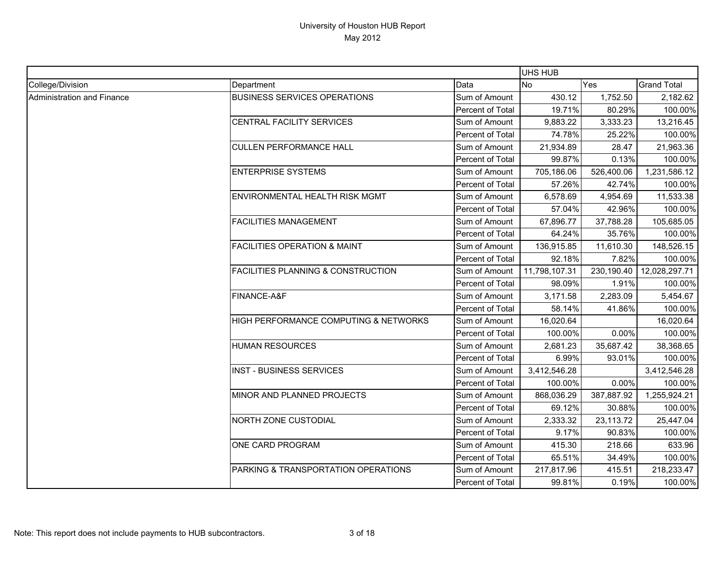|                            |                                               |                  | UHS HUB       |            |                    |
|----------------------------|-----------------------------------------------|------------------|---------------|------------|--------------------|
| College/Division           | Department                                    | Data             | No            | Yes        | <b>Grand Total</b> |
| Administration and Finance | <b>BUSINESS SERVICES OPERATIONS</b>           | Sum of Amount    | 430.12        | 1,752.50   | 2,182.62           |
|                            |                                               | Percent of Total | 19.71%        | 80.29%     | 100.00%            |
|                            | CENTRAL FACILITY SERVICES                     | Sum of Amount    | 9,883.22      | 3,333.23   | 13,216.45          |
|                            |                                               | Percent of Total | 74.78%        | 25.22%     | 100.00%            |
|                            | <b>CULLEN PERFORMANCE HALL</b>                | Sum of Amount    | 21,934.89     | 28.47      | 21,963.36          |
|                            |                                               | Percent of Total | 99.87%        | 0.13%      | 100.00%            |
|                            | <b>ENTERPRISE SYSTEMS</b>                     | Sum of Amount    | 705,186.06    | 526,400.06 | 1,231,586.12       |
|                            |                                               | Percent of Total | 57.26%        | 42.74%     | 100.00%            |
|                            | ENVIRONMENTAL HEALTH RISK MGMT                | Sum of Amount    | 6,578.69      | 4,954.69   | 11,533.38          |
|                            |                                               | Percent of Total | 57.04%        | 42.96%     | 100.00%            |
|                            | <b>FACILITIES MANAGEMENT</b>                  | Sum of Amount    | 67,896.77     | 37,788.28  | 105,685.05         |
|                            |                                               | Percent of Total | 64.24%        | 35.76%     | 100.00%            |
|                            | <b>FACILITIES OPERATION &amp; MAINT</b>       | Sum of Amount    | 136,915.85    | 11,610.30  | 148,526.15         |
|                            |                                               | Percent of Total | 92.18%        | 7.82%      | 100.00%            |
|                            | <b>FACILITIES PLANNING &amp; CONSTRUCTION</b> | Sum of Amount    | 11,798,107.31 | 230,190.40 | 12,028,297.71      |
|                            |                                               | Percent of Total | 98.09%        | 1.91%      | 100.00%            |
|                            | FINANCE-A&F                                   | Sum of Amount    | 3,171.58      | 2,283.09   | 5,454.67           |
|                            |                                               | Percent of Total | 58.14%        | 41.86%     | 100.00%            |
|                            | HIGH PERFORMANCE COMPUTING & NETWORKS         | Sum of Amount    | 16,020.64     |            | 16,020.64          |
|                            |                                               | Percent of Total | 100.00%       | 0.00%      | 100.00%            |
|                            | <b>HUMAN RESOURCES</b>                        | Sum of Amount    | 2,681.23      | 35,687.42  | 38,368.65          |
|                            |                                               | Percent of Total | 6.99%         | 93.01%     | 100.00%            |
|                            | <b>INST - BUSINESS SERVICES</b>               | Sum of Amount    | 3,412,546.28  |            | 3,412,546.28       |
|                            |                                               | Percent of Total | 100.00%       | 0.00%      | 100.00%            |
|                            | MINOR AND PLANNED PROJECTS                    | Sum of Amount    | 868,036.29    | 387,887.92 | 1,255,924.21       |
|                            |                                               | Percent of Total | 69.12%        | 30.88%     | 100.00%            |
|                            | NORTH ZONE CUSTODIAL                          | Sum of Amount    | 2,333.32      | 23,113.72  | 25,447.04          |
|                            |                                               | Percent of Total | 9.17%         | 90.83%     | 100.00%            |
|                            | ONE CARD PROGRAM                              | Sum of Amount    | 415.30        | 218.66     | 633.96             |
|                            |                                               | Percent of Total | 65.51%        | 34.49%     | 100.00%            |
|                            | PARKING & TRANSPORTATION OPERATIONS           | Sum of Amount    | 217,817.96    | 415.51     | 218,233.47         |
|                            |                                               | Percent of Total | 99.81%        | 0.19%      | 100.00%            |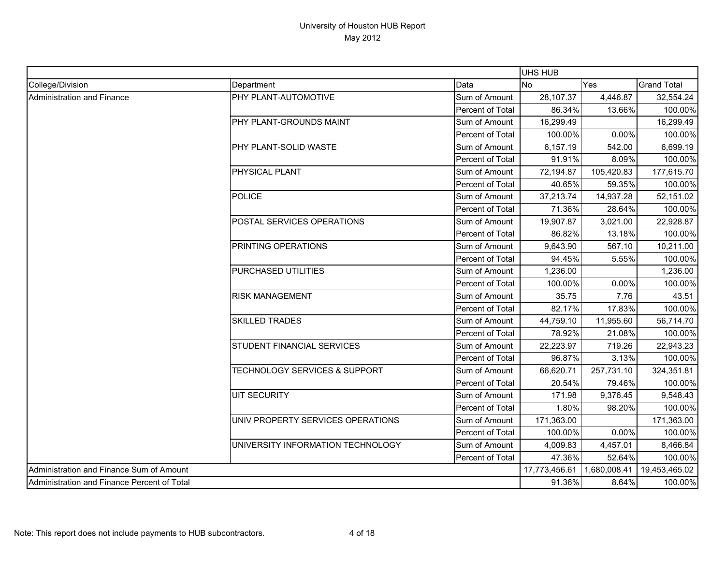|                                             |                                          |                  | UHS HUB    |              |                    |
|---------------------------------------------|------------------------------------------|------------------|------------|--------------|--------------------|
| College/Division                            | Department                               | Data             | <b>No</b>  | Yes          | <b>Grand Total</b> |
| <b>Administration and Finance</b>           | PHY PLANT-AUTOMOTIVE                     | Sum of Amount    | 28,107.37  | 4,446.87     | 32,554.24          |
|                                             |                                          | Percent of Total | 86.34%     | 13.66%       | 100.00%            |
|                                             | PHY PLANT-GROUNDS MAINT                  | Sum of Amount    | 16,299.49  |              | 16,299.49          |
|                                             |                                          | Percent of Total | 100.00%    | 0.00%        | 100.00%            |
|                                             | PHY PLANT-SOLID WASTE                    | Sum of Amount    | 6,157.19   | 542.00       | 6,699.19           |
|                                             |                                          | Percent of Total | 91.91%     | 8.09%        | 100.00%            |
|                                             | PHYSICAL PLANT                           | Sum of Amount    | 72,194.87  | 105,420.83   | 177,615.70         |
|                                             |                                          | Percent of Total | 40.65%     | 59.35%       | 100.00%            |
|                                             | <b>POLICE</b>                            | Sum of Amount    | 37,213.74  | 14,937.28    | 52,151.02          |
|                                             |                                          | Percent of Total | 71.36%     | 28.64%       | 100.00%            |
|                                             | POSTAL SERVICES OPERATIONS               | Sum of Amount    | 19,907.87  | 3,021.00     | 22,928.87          |
|                                             |                                          | Percent of Total | 86.82%     | 13.18%       | 100.00%            |
|                                             | PRINTING OPERATIONS                      | Sum of Amount    | 9,643.90   | 567.10       | 10,211.00          |
|                                             |                                          | Percent of Total | 94.45%     | 5.55%        | 100.00%            |
|                                             | PURCHASED UTILITIES                      | Sum of Amount    | 1,236.00   |              | 1,236.00           |
|                                             |                                          | Percent of Total | 100.00%    | 0.00%        | 100.00%            |
|                                             | <b>RISK MANAGEMENT</b>                   | Sum of Amount    | 35.75      | 7.76         | 43.51              |
|                                             |                                          | Percent of Total | 82.17%     | 17.83%       | 100.00%            |
|                                             | <b>SKILLED TRADES</b>                    | Sum of Amount    | 44,759.10  | 11,955.60    | 56,714.70          |
|                                             |                                          | Percent of Total | 78.92%     | 21.08%       | 100.00%            |
|                                             | STUDENT FINANCIAL SERVICES               | Sum of Amount    | 22,223.97  | 719.26       | 22,943.23          |
|                                             |                                          | Percent of Total | 96.87%     | 3.13%        | 100.00%            |
|                                             | <b>TECHNOLOGY SERVICES &amp; SUPPORT</b> | Sum of Amount    | 66,620.71  | 257,731.10   | 324,351.81         |
|                                             |                                          | Percent of Total | 20.54%     | 79.46%       | 100.00%            |
|                                             | UIT SECURITY                             | Sum of Amount    | 171.98     | 9,376.45     | 9,548.43           |
|                                             |                                          | Percent of Total | 1.80%      | 98.20%       | 100.00%            |
|                                             | UNIV PROPERTY SERVICES OPERATIONS        | Sum of Amount    | 171,363.00 |              | 171,363.00         |
|                                             |                                          | Percent of Total | 100.00%    | 0.00%        | 100.00%            |
|                                             | UNIVERSITY INFORMATION TECHNOLOGY        | Sum of Amount    | 4,009.83   | 4,457.01     | 8,466.84           |
|                                             |                                          | Percent of Total | 47.36%     | 52.64%       | 100.00%            |
|                                             | Administration and Finance Sum of Amount |                  |            | 1,680,008.41 | 19,453,465.02      |
| Administration and Finance Percent of Total |                                          |                  | 91.36%     | 8.64%        | 100.00%            |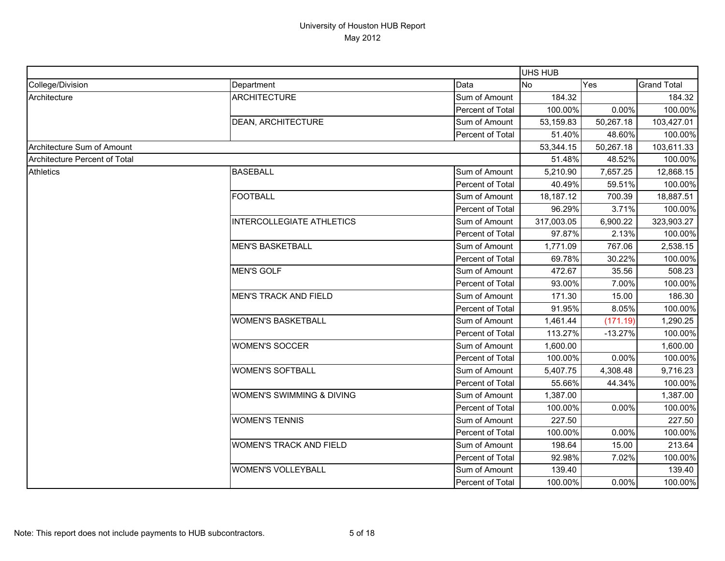|                               |                                |                         | UHS HUB    |           |                    |
|-------------------------------|--------------------------------|-------------------------|------------|-----------|--------------------|
| College/Division              | Department                     | Data                    | <b>No</b>  | Yes       | <b>Grand Total</b> |
| Architecture                  | <b>ARCHITECTURE</b>            | Sum of Amount           | 184.32     |           | 184.32             |
|                               |                                | Percent of Total        | 100.00%    | 0.00%     | 100.00%            |
|                               | <b>DEAN, ARCHITECTURE</b>      | Sum of Amount           | 53,159.83  | 50,267.18 | 103,427.01         |
|                               |                                | Percent of Total        | 51.40%     | 48.60%    | 100.00%            |
| Architecture Sum of Amount    |                                |                         | 53,344.15  | 50,267.18 | 103,611.33         |
| Architecture Percent of Total |                                |                         | 51.48%     | 48.52%    | 100.00%            |
| <b>Athletics</b>              | <b>BASEBALL</b>                | Sum of Amount           | 5,210.90   | 7,657.25  | 12,868.15          |
|                               |                                | Percent of Total        | 40.49%     | 59.51%    | 100.00%            |
|                               | <b>FOOTBALL</b>                | Sum of Amount           | 18,187.12  | 700.39    | 18,887.51          |
|                               |                                | Percent of Total        | 96.29%     | 3.71%     | 100.00%            |
|                               | INTERCOLLEGIATE ATHLETICS      | Sum of Amount           | 317,003.05 | 6,900.22  | 323,903.27         |
|                               |                                | <b>Percent of Total</b> | 97.87%     | 2.13%     | 100.00%            |
|                               | <b>MEN'S BASKETBALL</b>        | Sum of Amount           | 1,771.09   | 767.06    | 2,538.15           |
|                               |                                | Percent of Total        | 69.78%     | 30.22%    | 100.00%            |
|                               | <b>MEN'S GOLF</b>              | Sum of Amount           | 472.67     | 35.56     | 508.23             |
|                               |                                | Percent of Total        | 93.00%     | 7.00%     | 100.00%            |
|                               | <b>MEN'S TRACK AND FIELD</b>   | Sum of Amount           | 171.30     | 15.00     | 186.30             |
|                               |                                | Percent of Total        | 91.95%     | 8.05%     | 100.00%            |
|                               | <b>WOMEN'S BASKETBALL</b>      | Sum of Amount           | 1,461.44   | (171.19)  | 1,290.25           |
|                               |                                | Percent of Total        | 113.27%    | $-13.27%$ | 100.00%            |
|                               | <b>WOMEN'S SOCCER</b>          | Sum of Amount           | 1,600.00   |           | 1,600.00           |
|                               |                                | Percent of Total        | 100.00%    | 0.00%     | 100.00%            |
|                               | <b>WOMEN'S SOFTBALL</b>        | Sum of Amount           | 5,407.75   | 4,308.48  | 9,716.23           |
|                               |                                | Percent of Total        | 55.66%     | 44.34%    | 100.00%            |
|                               | WOMEN'S SWIMMING & DIVING      | Sum of Amount           | 1,387.00   |           | 1,387.00           |
|                               |                                | Percent of Total        | 100.00%    | 0.00%     | 100.00%            |
|                               | <b>WOMEN'S TENNIS</b>          | Sum of Amount           | 227.50     |           | 227.50             |
|                               |                                | Percent of Total        | 100.00%    | 0.00%     | 100.00%            |
|                               | <b>WOMEN'S TRACK AND FIELD</b> | Sum of Amount           | 198.64     | 15.00     | 213.64             |
|                               |                                | Percent of Total        | 92.98%     | 7.02%     | 100.00%            |
|                               | <b>WOMEN'S VOLLEYBALL</b>      | Sum of Amount           | 139.40     |           | 139.40             |
|                               |                                | Percent of Total        | 100.00%    | 0.00%     | 100.00%            |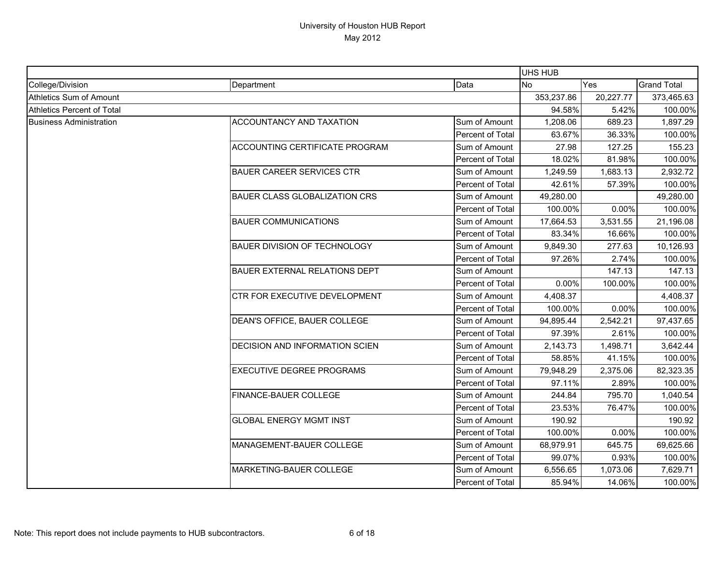|                                   |                                       |                  | <b>UHS HUB</b> |           |                    |
|-----------------------------------|---------------------------------------|------------------|----------------|-----------|--------------------|
| College/Division                  | Department                            | Data             | <b>No</b>      | Yes       | <b>Grand Total</b> |
| Athletics Sum of Amount           |                                       |                  | 353,237.86     | 20,227.77 | 373,465.63         |
| <b>Athletics Percent of Total</b> |                                       |                  | 94.58%         | 5.42%     | 100.00%            |
| <b>Business Administration</b>    | ACCOUNTANCY AND TAXATION              | Sum of Amount    | 1,208.06       | 689.23    | 1,897.29           |
|                                   |                                       | Percent of Total | 63.67%         | 36.33%    | 100.00%            |
|                                   | <b>ACCOUNTING CERTIFICATE PROGRAM</b> | Sum of Amount    | 27.98          | 127.25    | 155.23             |
|                                   |                                       | Percent of Total | 18.02%         | 81.98%    | 100.00%            |
|                                   | <b>BAUER CAREER SERVICES CTR</b>      | Sum of Amount    | 1,249.59       | 1,683.13  | 2,932.72           |
|                                   |                                       | Percent of Total | 42.61%         | 57.39%    | 100.00%            |
|                                   | <b>BAUER CLASS GLOBALIZATION CRS</b>  | Sum of Amount    | 49,280.00      |           | 49,280.00          |
|                                   |                                       | Percent of Total | 100.00%        | 0.00%     | 100.00%            |
|                                   | <b>BAUER COMMUNICATIONS</b>           | Sum of Amount    | 17,664.53      | 3,531.55  | 21,196.08          |
|                                   |                                       | Percent of Total | 83.34%         | 16.66%    | 100.00%            |
|                                   | <b>BAUER DIVISION OF TECHNOLOGY</b>   | Sum of Amount    | 9,849.30       | 277.63    | 10,126.93          |
|                                   |                                       | Percent of Total | 97.26%         | 2.74%     | 100.00%            |
|                                   | <b>BAUER EXTERNAL RELATIONS DEPT</b>  | Sum of Amount    |                | 147.13    | 147.13             |
|                                   |                                       | Percent of Total | 0.00%          | 100.00%   | 100.00%            |
|                                   | CTR FOR EXECUTIVE DEVELOPMENT         | Sum of Amount    | 4,408.37       |           | 4,408.37           |
|                                   |                                       | Percent of Total | 100.00%        | 0.00%     | 100.00%            |
|                                   | DEAN'S OFFICE, BAUER COLLEGE          | Sum of Amount    | 94,895.44      | 2,542.21  | 97,437.65          |
|                                   |                                       | Percent of Total | 97.39%         | 2.61%     | 100.00%            |
|                                   | <b>DECISION AND INFORMATION SCIEN</b> | Sum of Amount    | 2,143.73       | 1,498.71  | 3,642.44           |
|                                   |                                       | Percent of Total | 58.85%         | 41.15%    | 100.00%            |
|                                   | <b>EXECUTIVE DEGREE PROGRAMS</b>      | Sum of Amount    | 79,948.29      | 2,375.06  | 82,323.35          |
|                                   |                                       | Percent of Total | 97.11%         | 2.89%     | 100.00%            |
|                                   | FINANCE-BAUER COLLEGE                 | Sum of Amount    | 244.84         | 795.70    | 1,040.54           |
|                                   |                                       | Percent of Total | 23.53%         | 76.47%    | 100.00%            |
|                                   | <b>GLOBAL ENERGY MGMT INST</b>        | Sum of Amount    | 190.92         |           | 190.92             |
|                                   |                                       | Percent of Total | 100.00%        | 0.00%     | 100.00%            |
|                                   | MANAGEMENT-BAUER COLLEGE              | Sum of Amount    | 68,979.91      | 645.75    | 69,625.66          |
|                                   |                                       | Percent of Total | 99.07%         | 0.93%     | 100.00%            |
|                                   | MARKETING-BAUER COLLEGE               | Sum of Amount    | 6,556.65       | 1,073.06  | 7,629.71           |
|                                   |                                       | Percent of Total | 85.94%         | 14.06%    | 100.00%            |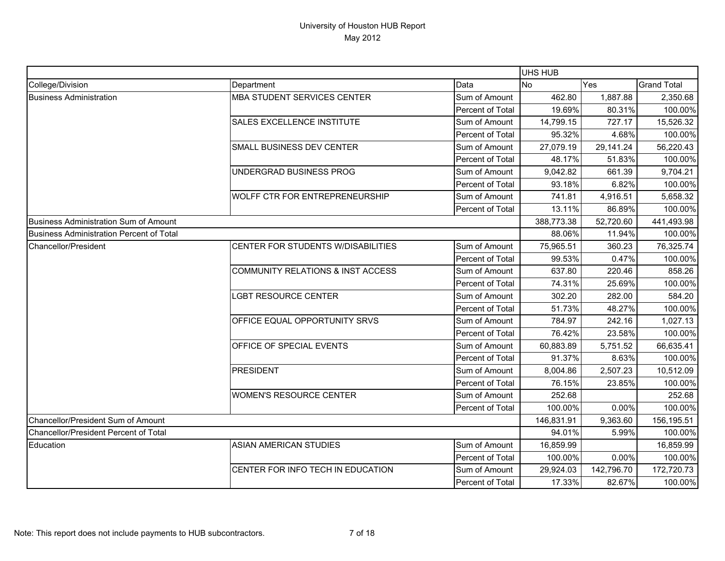|                                                 |                                    |                  | <b>UHS HUB</b> |            |                    |
|-------------------------------------------------|------------------------------------|------------------|----------------|------------|--------------------|
| College/Division                                | Department                         | Data             | <b>No</b>      | Yes        | <b>Grand Total</b> |
| <b>Business Administration</b>                  | MBA STUDENT SERVICES CENTER        | Sum of Amount    | 462.80         | 1,887.88   | 2,350.68           |
|                                                 |                                    | Percent of Total | 19.69%         | 80.31%     | 100.00%            |
|                                                 | SALES EXCELLENCE INSTITUTE         | Sum of Amount    | 14,799.15      | 727.17     | 15,526.32          |
|                                                 |                                    | Percent of Total | 95.32%         | 4.68%      | 100.00%            |
|                                                 | SMALL BUSINESS DEV CENTER          | Sum of Amount    | 27,079.19      | 29,141.24  | 56,220.43          |
|                                                 |                                    | Percent of Total | 48.17%         | 51.83%     | 100.00%            |
|                                                 | UNDERGRAD BUSINESS PROG            | Sum of Amount    | 9,042.82       | 661.39     | 9,704.21           |
|                                                 |                                    | Percent of Total | 93.18%         | 6.82%      | 100.00%            |
|                                                 | WOLFF CTR FOR ENTREPRENEURSHIP     | Sum of Amount    | 741.81         | 4,916.51   | 5,658.32           |
|                                                 |                                    | Percent of Total | 13.11%         | 86.89%     | 100.00%            |
| <b>Business Administration Sum of Amount</b>    |                                    |                  | 388,773.38     | 52,720.60  | 441,493.98         |
| <b>Business Administration Percent of Total</b> |                                    |                  | 88.06%         | 11.94%     | 100.00%            |
| Chancellor/President                            | CENTER FOR STUDENTS W/DISABILITIES | Sum of Amount    | 75,965.51      | 360.23     | 76,325.74          |
|                                                 |                                    | Percent of Total | 99.53%         | 0.47%      | 100.00%            |
|                                                 | COMMUNITY RELATIONS & INST ACCESS  | Sum of Amount    | 637.80         | 220.46     | 858.26             |
|                                                 |                                    | Percent of Total | 74.31%         | 25.69%     | 100.00%            |
|                                                 | <b>LGBT RESOURCE CENTER</b>        | Sum of Amount    | 302.20         | 282.00     | 584.20             |
|                                                 |                                    | Percent of Total | 51.73%         | 48.27%     | 100.00%            |
|                                                 | OFFICE EQUAL OPPORTUNITY SRVS      | Sum of Amount    | 784.97         | 242.16     | 1,027.13           |
|                                                 |                                    | Percent of Total | 76.42%         | 23.58%     | 100.00%            |
|                                                 | OFFICE OF SPECIAL EVENTS           | Sum of Amount    | 60,883.89      | 5,751.52   | 66,635.41          |
|                                                 |                                    | Percent of Total | 91.37%         | 8.63%      | 100.00%            |
|                                                 | <b>PRESIDENT</b>                   | Sum of Amount    | 8,004.86       | 2,507.23   | 10,512.09          |
|                                                 |                                    | Percent of Total | 76.15%         | 23.85%     | 100.00%            |
|                                                 | <b>WOMEN'S RESOURCE CENTER</b>     | Sum of Amount    | 252.68         |            | 252.68             |
|                                                 |                                    | Percent of Total | 100.00%        | 0.00%      | 100.00%            |
| Chancellor/President Sum of Amount              |                                    |                  | 146,831.91     | 9,363.60   | 156,195.51         |
| Chancellor/President Percent of Total           |                                    |                  | 94.01%         | 5.99%      | 100.00%            |
| Education                                       | <b>ASIAN AMERICAN STUDIES</b>      | Sum of Amount    | 16,859.99      |            | 16,859.99          |
|                                                 |                                    | Percent of Total | 100.00%        | 0.00%      | 100.00%            |
|                                                 | CENTER FOR INFO TECH IN EDUCATION  | Sum of Amount    | 29,924.03      | 142,796.70 | 172,720.73         |
|                                                 |                                    | Percent of Total | 17.33%         | 82.67%     | 100.00%            |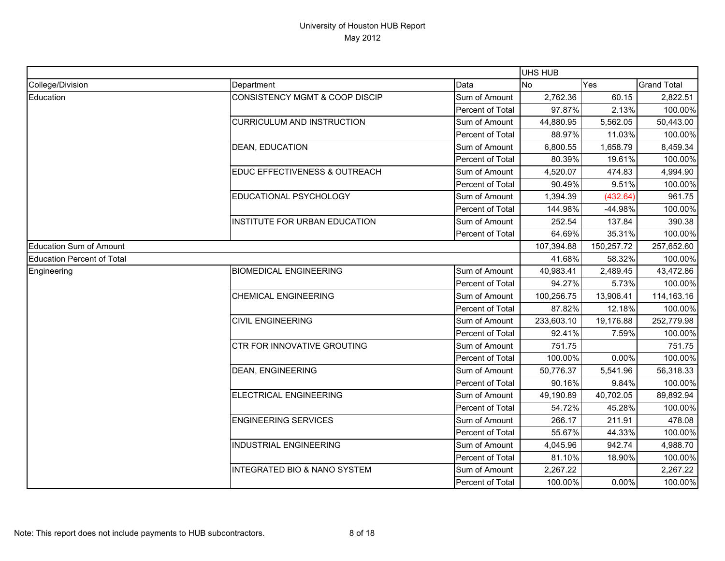|                                   |                                           |                  | UHS HUB    |            |                    |
|-----------------------------------|-------------------------------------------|------------------|------------|------------|--------------------|
| College/Division                  | Department                                | Data             | <b>No</b>  | Yes        | <b>Grand Total</b> |
| Education                         | <b>CONSISTENCY MGMT &amp; COOP DISCIP</b> | Sum of Amount    | 2,762.36   | 60.15      | 2,822.51           |
|                                   |                                           | Percent of Total | 97.87%     | 2.13%      | 100.00%            |
|                                   | <b>CURRICULUM AND INSTRUCTION</b>         | Sum of Amount    | 44,880.95  | 5,562.05   | 50,443.00          |
|                                   |                                           | Percent of Total | 88.97%     | 11.03%     | 100.00%            |
|                                   | DEAN, EDUCATION                           | Sum of Amount    | 6,800.55   | 1,658.79   | 8,459.34           |
|                                   |                                           | Percent of Total | 80.39%     | 19.61%     | 100.00%            |
|                                   | EDUC EFFECTIVENESS & OUTREACH             | Sum of Amount    | 4,520.07   | 474.83     | 4,994.90           |
|                                   |                                           | Percent of Total | 90.49%     | 9.51%      | 100.00%            |
|                                   | EDUCATIONAL PSYCHOLOGY                    | Sum of Amount    | 1,394.39   | (432.64)   | 961.75             |
|                                   |                                           | Percent of Total | 144.98%    | -44.98%    | 100.00%            |
|                                   | INSTITUTE FOR URBAN EDUCATION             | Sum of Amount    | 252.54     | 137.84     | 390.38             |
|                                   |                                           | Percent of Total | 64.69%     | 35.31%     | 100.00%            |
| <b>Education Sum of Amount</b>    |                                           |                  | 107,394.88 | 150,257.72 | 257,652.60         |
| <b>Education Percent of Total</b> |                                           |                  | 41.68%     | 58.32%     | 100.00%            |
| Engineering                       | <b>BIOMEDICAL ENGINEERING</b>             | Sum of Amount    | 40,983.41  | 2,489.45   | 43,472.86          |
|                                   |                                           | Percent of Total | 94.27%     | 5.73%      | 100.00%            |
|                                   | <b>CHEMICAL ENGINEERING</b>               | Sum of Amount    | 100,256.75 | 13,906.41  | 114,163.16         |
|                                   |                                           | Percent of Total | 87.82%     | 12.18%     | 100.00%            |
|                                   | <b>CIVIL ENGINEERING</b>                  | Sum of Amount    | 233,603.10 | 19,176.88  | 252,779.98         |
|                                   |                                           | Percent of Total | 92.41%     | 7.59%      | 100.00%            |
|                                   | CTR FOR INNOVATIVE GROUTING               | Sum of Amount    | 751.75     |            | 751.75             |
|                                   |                                           | Percent of Total | 100.00%    | 0.00%      | 100.00%            |
|                                   | <b>DEAN, ENGINEERING</b>                  | Sum of Amount    | 50,776.37  | 5,541.96   | 56,318.33          |
|                                   |                                           | Percent of Total | 90.16%     | 9.84%      | 100.00%            |
|                                   | ELECTRICAL ENGINEERING                    | Sum of Amount    | 49,190.89  | 40,702.05  | 89,892.94          |
|                                   |                                           | Percent of Total | 54.72%     | 45.28%     | 100.00%            |
|                                   | <b>ENGINEERING SERVICES</b>               | Sum of Amount    | 266.17     | 211.91     | 478.08             |
|                                   |                                           | Percent of Total | 55.67%     | 44.33%     | 100.00%            |
|                                   | <b>INDUSTRIAL ENGINEERING</b>             | Sum of Amount    | 4,045.96   | 942.74     | 4,988.70           |
|                                   |                                           | Percent of Total | 81.10%     | 18.90%     | 100.00%            |
|                                   | <b>INTEGRATED BIO &amp; NANO SYSTEM</b>   | Sum of Amount    | 2,267.22   |            | 2,267.22           |
|                                   |                                           | Percent of Total | 100.00%    | 0.00%      | 100.00%            |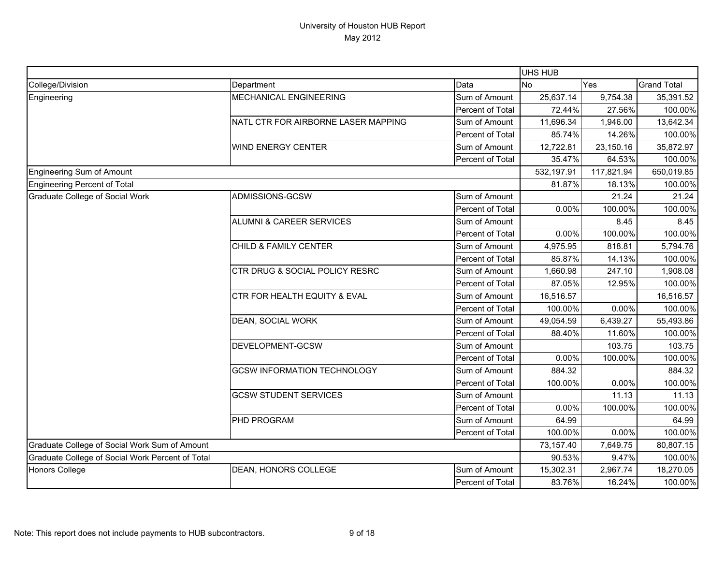|                                                  |                                     |                  | <b>UHS HUB</b> |            |                    |
|--------------------------------------------------|-------------------------------------|------------------|----------------|------------|--------------------|
| College/Division                                 | Department                          | Data             | <b>No</b>      | Yes        | <b>Grand Total</b> |
| Engineering                                      | MECHANICAL ENGINEERING              | Sum of Amount    | 25,637.14      | 9,754.38   | 35,391.52          |
|                                                  |                                     | Percent of Total | 72.44%         | 27.56%     | 100.00%            |
|                                                  | NATL CTR FOR AIRBORNE LASER MAPPING | Sum of Amount    | 11,696.34      | 1,946.00   | 13,642.34          |
|                                                  |                                     | Percent of Total | 85.74%         | 14.26%     | 100.00%            |
|                                                  | <b>WIND ENERGY CENTER</b>           | Sum of Amount    | 12,722.81      | 23,150.16  | 35,872.97          |
|                                                  |                                     | Percent of Total | 35.47%         | 64.53%     | 100.00%            |
| Engineering Sum of Amount                        |                                     |                  | 532,197.91     | 117,821.94 | 650,019.85         |
| Engineering Percent of Total                     |                                     |                  | 81.87%         | 18.13%     | 100.00%            |
| Graduate College of Social Work                  | ADMISSIONS-GCSW                     | Sum of Amount    |                | 21.24      | 21.24              |
|                                                  |                                     | Percent of Total | 0.00%          | 100.00%    | 100.00%            |
|                                                  | <b>ALUMNI &amp; CAREER SERVICES</b> | Sum of Amount    |                | 8.45       | 8.45               |
|                                                  |                                     | Percent of Total | 0.00%          | 100.00%    | 100.00%            |
|                                                  | <b>CHILD &amp; FAMILY CENTER</b>    | Sum of Amount    | 4,975.95       | 818.81     | 5,794.76           |
|                                                  |                                     | Percent of Total | 85.87%         | 14.13%     | 100.00%            |
|                                                  | CTR DRUG & SOCIAL POLICY RESRC      | Sum of Amount    | 1,660.98       | 247.10     | 1,908.08           |
|                                                  |                                     | Percent of Total | 87.05%         | 12.95%     | 100.00%            |
|                                                  | CTR FOR HEALTH EQUITY & EVAL        | Sum of Amount    | 16,516.57      |            | 16,516.57          |
|                                                  |                                     | Percent of Total | 100.00%        | 0.00%      | 100.00%            |
|                                                  | DEAN, SOCIAL WORK                   | Sum of Amount    | 49,054.59      | 6,439.27   | 55,493.86          |
|                                                  |                                     | Percent of Total | 88.40%         | 11.60%     | 100.00%            |
|                                                  | DEVELOPMENT-GCSW                    | Sum of Amount    |                | 103.75     | 103.75             |
|                                                  |                                     | Percent of Total | 0.00%          | 100.00%    | 100.00%            |
|                                                  | <b>GCSW INFORMATION TECHNOLOGY</b>  | Sum of Amount    | 884.32         |            | 884.32             |
|                                                  |                                     | Percent of Total | 100.00%        | 0.00%      | 100.00%            |
|                                                  | <b>GCSW STUDENT SERVICES</b>        | Sum of Amount    |                | 11.13      | 11.13              |
|                                                  |                                     | Percent of Total | 0.00%          | 100.00%    | 100.00%            |
|                                                  | PHD PROGRAM                         | Sum of Amount    | 64.99          |            | 64.99              |
|                                                  |                                     | Percent of Total | 100.00%        | 0.00%      | 100.00%            |
| Graduate College of Social Work Sum of Amount    |                                     |                  | 73,157.40      | 7,649.75   | 80,807.15          |
| Graduate College of Social Work Percent of Total |                                     |                  | 90.53%         | 9.47%      | 100.00%            |
| Honors College                                   | DEAN, HONORS COLLEGE                | Sum of Amount    | 15,302.31      | 2,967.74   | 18,270.05          |
|                                                  |                                     | Percent of Total | 83.76%         | 16.24%     | 100.00%            |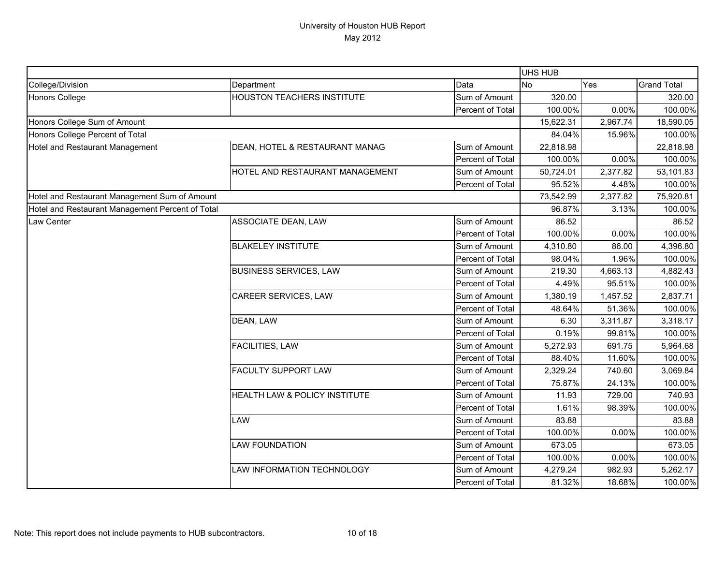|                                                  |                                   |                  | UHS HUB   |          |                    |
|--------------------------------------------------|-----------------------------------|------------------|-----------|----------|--------------------|
| College/Division                                 | Department                        | Data             | No        | Yes      | <b>Grand Total</b> |
| Honors College                                   | <b>HOUSTON TEACHERS INSTITUTE</b> | Sum of Amount    | 320.00    |          | 320.00             |
|                                                  |                                   | Percent of Total | 100.00%   | 0.00%    | 100.00%            |
| Honors College Sum of Amount                     |                                   |                  | 15,622.31 | 2,967.74 | 18,590.05          |
| Honors College Percent of Total                  |                                   |                  | 84.04%    | 15.96%   | 100.00%            |
| Hotel and Restaurant Management                  | DEAN, HOTEL & RESTAURANT MANAG    | Sum of Amount    | 22,818.98 |          | 22,818.98          |
|                                                  |                                   | Percent of Total | 100.00%   | 0.00%    | 100.00%            |
|                                                  | HOTEL AND RESTAURANT MANAGEMENT   | Sum of Amount    | 50,724.01 | 2,377.82 | 53,101.83          |
|                                                  |                                   | Percent of Total | 95.52%    | 4.48%    | 100.00%            |
| Hotel and Restaurant Management Sum of Amount    |                                   |                  | 73,542.99 | 2,377.82 | 75,920.81          |
| Hotel and Restaurant Management Percent of Total |                                   |                  | 96.87%    | 3.13%    | 100.00%            |
| Law Center                                       | ASSOCIATE DEAN, LAW               | Sum of Amount    | 86.52     |          | 86.52              |
|                                                  |                                   | Percent of Total | 100.00%   | 0.00%    | 100.00%            |
|                                                  | <b>BLAKELEY INSTITUTE</b>         | Sum of Amount    | 4,310.80  | 86.00    | 4,396.80           |
|                                                  |                                   | Percent of Total | 98.04%    | 1.96%    | 100.00%            |
|                                                  | <b>BUSINESS SERVICES, LAW</b>     | Sum of Amount    | 219.30    | 4,663.13 | 4,882.43           |
|                                                  |                                   | Percent of Total | 4.49%     | 95.51%   | 100.00%            |
|                                                  | CAREER SERVICES, LAW              | Sum of Amount    | 1,380.19  | 1,457.52 | 2,837.71           |
|                                                  |                                   | Percent of Total | 48.64%    | 51.36%   | 100.00%            |
|                                                  | DEAN, LAW                         | Sum of Amount    | 6.30      | 3,311.87 | 3,318.17           |
|                                                  |                                   | Percent of Total | 0.19%     | 99.81%   | 100.00%            |
|                                                  | FACILITIES, LAW                   | Sum of Amount    | 5,272.93  | 691.75   | 5,964.68           |
|                                                  |                                   | Percent of Total | 88.40%    | 11.60%   | 100.00%            |
|                                                  | FACULTY SUPPORT LAW               | Sum of Amount    | 2,329.24  | 740.60   | 3,069.84           |
|                                                  |                                   | Percent of Total | 75.87%    | 24.13%   | 100.00%            |
|                                                  | HEALTH LAW & POLICY INSTITUTE     | Sum of Amount    | 11.93     | 729.00   | 740.93             |
|                                                  |                                   | Percent of Total | 1.61%     | 98.39%   | 100.00%            |
|                                                  | LAW                               | Sum of Amount    | 83.88     |          | 83.88              |
|                                                  |                                   | Percent of Total | 100.00%   | 0.00%    | 100.00%            |
|                                                  | <b>LAW FOUNDATION</b>             | Sum of Amount    | 673.05    |          | 673.05             |
|                                                  |                                   | Percent of Total | 100.00%   | 0.00%    | 100.00%            |
|                                                  | LAW INFORMATION TECHNOLOGY        | Sum of Amount    | 4,279.24  | 982.93   | 5,262.17           |
|                                                  |                                   | Percent of Total | 81.32%    | 18.68%   | 100.00%            |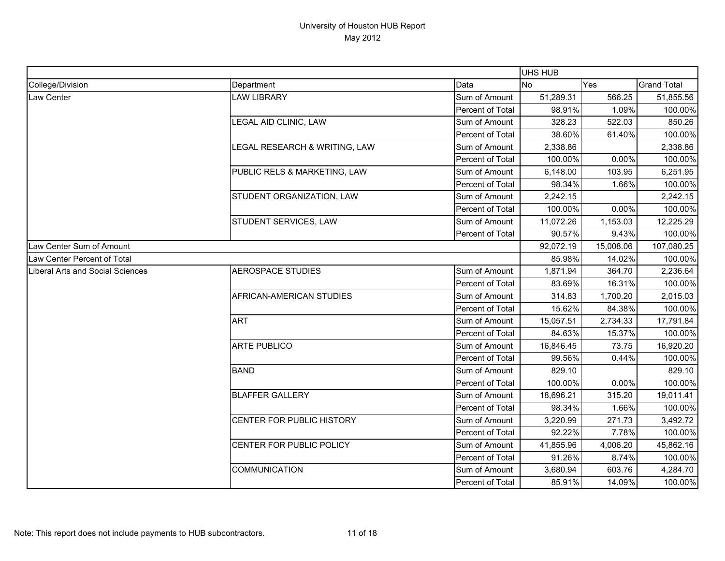|                                  |                               |                  | <b>UHS HUB</b> |           |                    |
|----------------------------------|-------------------------------|------------------|----------------|-----------|--------------------|
| College/Division                 | Department                    | Data             | <b>No</b>      | Yes       | <b>Grand Total</b> |
| Law Center                       | <b>LAW LIBRARY</b>            | Sum of Amount    | 51,289.31      | 566.25    | 51,855.56          |
|                                  |                               | Percent of Total | 98.91%         | 1.09%     | 100.00%            |
|                                  | LEGAL AID CLINIC, LAW         | Sum of Amount    | 328.23         | 522.03    | 850.26             |
|                                  |                               | Percent of Total | 38.60%         | 61.40%    | 100.00%            |
|                                  | LEGAL RESEARCH & WRITING, LAW | Sum of Amount    | 2,338.86       |           | 2,338.86           |
|                                  |                               | Percent of Total | 100.00%        | 0.00%     | 100.00%            |
|                                  | PUBLIC RELS & MARKETING, LAW  | Sum of Amount    | 6,148.00       | 103.95    | 6,251.95           |
|                                  |                               | Percent of Total | 98.34%         | 1.66%     | 100.00%            |
|                                  | STUDENT ORGANIZATION, LAW     | Sum of Amount    | 2,242.15       |           | 2,242.15           |
|                                  |                               | Percent of Total | 100.00%        | 0.00%     | 100.00%            |
|                                  | STUDENT SERVICES, LAW         | Sum of Amount    | 11,072.26      | 1,153.03  | 12,225.29          |
|                                  |                               | Percent of Total | 90.57%         | 9.43%     | 100.00%            |
| Law Center Sum of Amount         |                               |                  | 92,072.19      | 15,008.06 | 107,080.25         |
| Law Center Percent of Total      |                               |                  | 85.98%         | 14.02%    | 100.00%            |
| Liberal Arts and Social Sciences | <b>AEROSPACE STUDIES</b>      | Sum of Amount    | 1,871.94       | 364.70    | 2,236.64           |
|                                  |                               | Percent of Total | 83.69%         | 16.31%    | 100.00%            |
|                                  | AFRICAN-AMERICAN STUDIES      | Sum of Amount    | 314.83         | 1,700.20  | 2,015.03           |
|                                  |                               | Percent of Total | 15.62%         | 84.38%    | 100.00%            |
|                                  | <b>ART</b>                    | Sum of Amount    | 15,057.51      | 2,734.33  | 17,791.84          |
|                                  |                               | Percent of Total | 84.63%         | 15.37%    | 100.00%            |
|                                  | <b>ARTE PUBLICO</b>           | Sum of Amount    | 16,846.45      | 73.75     | 16,920.20          |
|                                  |                               | Percent of Total | 99.56%         | 0.44%     | 100.00%            |
|                                  | <b>BAND</b>                   | Sum of Amount    | 829.10         |           | 829.10             |
|                                  |                               | Percent of Total | 100.00%        | 0.00%     | 100.00%            |
|                                  | <b>BLAFFER GALLERY</b>        | Sum of Amount    | 18,696.21      | 315.20    | 19,011.41          |
|                                  |                               | Percent of Total | 98.34%         | 1.66%     | 100.00%            |
|                                  | CENTER FOR PUBLIC HISTORY     | Sum of Amount    | 3,220.99       | 271.73    | 3,492.72           |
|                                  |                               | Percent of Total | 92.22%         | 7.78%     | 100.00%            |
|                                  | CENTER FOR PUBLIC POLICY      | Sum of Amount    | 41,855.96      | 4,006.20  | 45,862.16          |
|                                  |                               | Percent of Total | 91.26%         | 8.74%     | 100.00%            |
|                                  | <b>COMMUNICATION</b>          | Sum of Amount    | 3,680.94       | 603.76    | 4,284.70           |
|                                  |                               | Percent of Total | 85.91%         | 14.09%    | 100.00%            |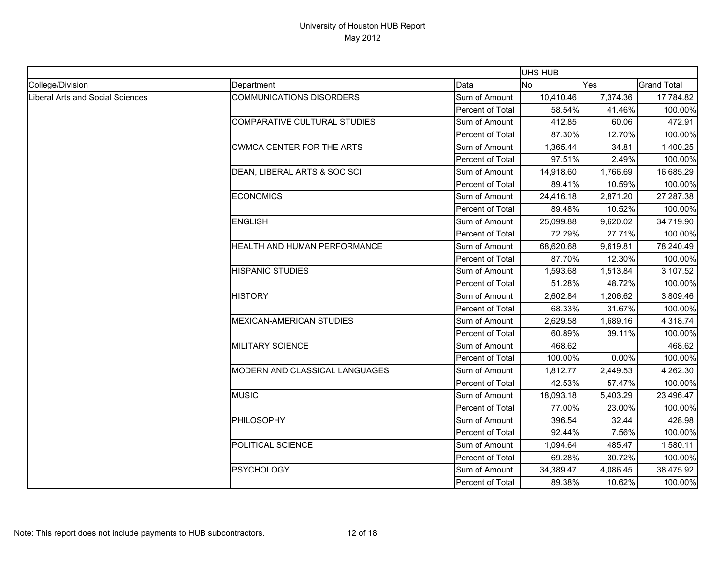|                                  |                                     |                  | UHS HUB   |          |                    |
|----------------------------------|-------------------------------------|------------------|-----------|----------|--------------------|
| College/Division                 | Department                          | Data             | <b>No</b> | Yes      | <b>Grand Total</b> |
| Liberal Arts and Social Sciences | <b>COMMUNICATIONS DISORDERS</b>     | Sum of Amount    | 10,410.46 | 7,374.36 | 17,784.82          |
|                                  |                                     | Percent of Total | 58.54%    | 41.46%   | 100.00%            |
|                                  | <b>COMPARATIVE CULTURAL STUDIES</b> | Sum of Amount    | 412.85    | 60.06    | 472.91             |
|                                  |                                     | Percent of Total | 87.30%    | 12.70%   | 100.00%            |
|                                  | <b>CWMCA CENTER FOR THE ARTS</b>    | Sum of Amount    | 1,365.44  | 34.81    | 1,400.25           |
|                                  |                                     | Percent of Total | 97.51%    | 2.49%    | 100.00%            |
|                                  | DEAN, LIBERAL ARTS & SOC SCI        | Sum of Amount    | 14,918.60 | 1,766.69 | 16,685.29          |
|                                  |                                     | Percent of Total | 89.41%    | 10.59%   | 100.00%            |
|                                  | <b>ECONOMICS</b>                    | Sum of Amount    | 24,416.18 | 2,871.20 | 27,287.38          |
|                                  |                                     | Percent of Total | 89.48%    | 10.52%   | 100.00%            |
|                                  | <b>ENGLISH</b>                      | Sum of Amount    | 25,099.88 | 9,620.02 | 34,719.90          |
|                                  |                                     | Percent of Total | 72.29%    | 27.71%   | 100.00%            |
|                                  | HEALTH AND HUMAN PERFORMANCE        | Sum of Amount    | 68,620.68 | 9,619.81 | 78,240.49          |
|                                  |                                     | Percent of Total | 87.70%    | 12.30%   | 100.00%            |
|                                  | <b>HISPANIC STUDIES</b>             | Sum of Amount    | 1,593.68  | 1,513.84 | 3,107.52           |
|                                  |                                     | Percent of Total | 51.28%    | 48.72%   | 100.00%            |
|                                  | <b>HISTORY</b>                      | Sum of Amount    | 2,602.84  | 1,206.62 | 3,809.46           |
|                                  |                                     | Percent of Total | 68.33%    | 31.67%   | 100.00%            |
|                                  | <b>MEXICAN-AMERICAN STUDIES</b>     | Sum of Amount    | 2,629.58  | 1,689.16 | 4,318.74           |
|                                  |                                     | Percent of Total | 60.89%    | 39.11%   | 100.00%            |
|                                  | <b>MILITARY SCIENCE</b>             | Sum of Amount    | 468.62    |          | 468.62             |
|                                  |                                     | Percent of Total | 100.00%   | 0.00%    | 100.00%            |
|                                  | MODERN AND CLASSICAL LANGUAGES      | Sum of Amount    | 1,812.77  | 2,449.53 | 4,262.30           |
|                                  |                                     | Percent of Total | 42.53%    | 57.47%   | 100.00%            |
|                                  | <b>MUSIC</b>                        | Sum of Amount    | 18,093.18 | 5,403.29 | 23,496.47          |
|                                  |                                     | Percent of Total | 77.00%    | 23.00%   | 100.00%            |
|                                  | PHILOSOPHY                          | Sum of Amount    | 396.54    | 32.44    | 428.98             |
|                                  |                                     | Percent of Total | 92.44%    | 7.56%    | 100.00%            |
|                                  | POLITICAL SCIENCE                   | Sum of Amount    | 1,094.64  | 485.47   | 1,580.11           |
|                                  |                                     | Percent of Total | 69.28%    | 30.72%   | 100.00%            |
|                                  | <b>PSYCHOLOGY</b>                   | Sum of Amount    | 34,389.47 | 4,086.45 | 38,475.92          |
|                                  |                                     | Percent of Total | 89.38%    | 10.62%   | 100.00%            |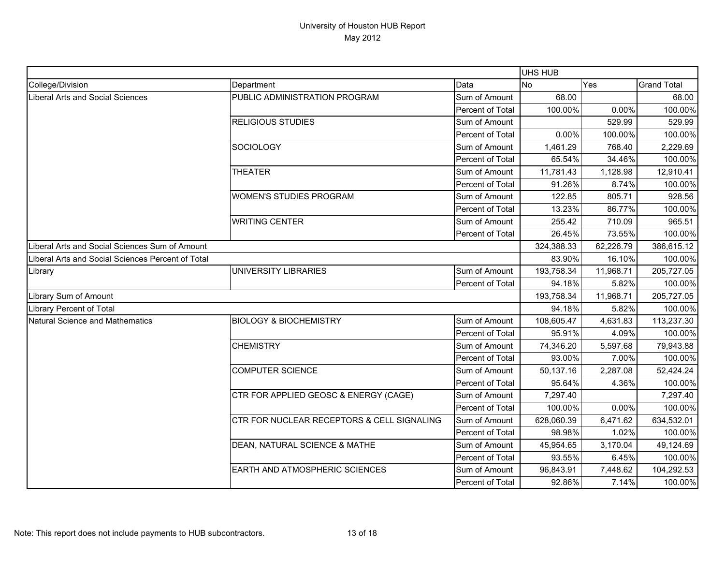|                                                   |                                            |                  | <b>UHS HUB</b>   |           |                    |
|---------------------------------------------------|--------------------------------------------|------------------|------------------|-----------|--------------------|
| College/Division                                  | Department                                 | Data             | <b>No</b><br>Yes |           | <b>Grand Total</b> |
| Liberal Arts and Social Sciences                  | PUBLIC ADMINISTRATION PROGRAM              | Sum of Amount    | 68.00            |           | 68.00              |
|                                                   |                                            | Percent of Total | 100.00%          | 0.00%     | 100.00%            |
|                                                   | <b>RELIGIOUS STUDIES</b>                   | Sum of Amount    |                  | 529.99    | 529.99             |
|                                                   |                                            | Percent of Total | 0.00%            | 100.00%   | 100.00%            |
|                                                   | SOCIOLOGY                                  | Sum of Amount    | 1,461.29         | 768.40    | 2,229.69           |
|                                                   |                                            | Percent of Total | 65.54%           | 34.46%    | 100.00%            |
|                                                   | <b>THEATER</b>                             | Sum of Amount    | 11,781.43        | 1,128.98  | 12,910.41          |
|                                                   |                                            | Percent of Total | 91.26%           | 8.74%     | 100.00%            |
|                                                   | <b>WOMEN'S STUDIES PROGRAM</b>             | Sum of Amount    | 122.85           | 805.71    | 928.56             |
|                                                   |                                            | Percent of Total | 13.23%           | 86.77%    | 100.00%            |
|                                                   | <b>WRITING CENTER</b>                      | Sum of Amount    | 255.42           | 710.09    | 965.51             |
|                                                   |                                            | Percent of Total | 26.45%           | 73.55%    | 100.00%            |
| Liberal Arts and Social Sciences Sum of Amount    |                                            |                  | 324,388.33       | 62,226.79 | 386,615.12         |
| Liberal Arts and Social Sciences Percent of Total |                                            |                  | 83.90%           | 16.10%    | 100.00%            |
| Library                                           | UNIVERSITY LIBRARIES                       | Sum of Amount    | 193,758.34       | 11,968.71 | 205,727.05         |
|                                                   |                                            | Percent of Total | 94.18%           | 5.82%     | 100.00%            |
| Library Sum of Amount                             |                                            |                  | 193,758.34       | 11,968.71 | 205,727.05         |
| Library Percent of Total                          |                                            |                  | 94.18%           | 5.82%     | 100.00%            |
| Natural Science and Mathematics                   | <b>BIOLOGY &amp; BIOCHEMISTRY</b>          | Sum of Amount    | 108,605.47       | 4,631.83  | 113,237.30         |
|                                                   |                                            | Percent of Total | 95.91%           | 4.09%     | 100.00%            |
|                                                   | <b>CHEMISTRY</b>                           | Sum of Amount    | 74,346.20        | 5,597.68  | 79,943.88          |
|                                                   |                                            | Percent of Total | 93.00%           | 7.00%     | 100.00%            |
|                                                   | <b>COMPUTER SCIENCE</b>                    | Sum of Amount    | 50,137.16        | 2,287.08  | 52,424.24          |
|                                                   |                                            | Percent of Total | 95.64%           | 4.36%     | 100.00%            |
|                                                   | CTR FOR APPLIED GEOSC & ENERGY (CAGE)      | Sum of Amount    | 7,297.40         |           | 7,297.40           |
|                                                   |                                            | Percent of Total | 100.00%          | 0.00%     | 100.00%            |
|                                                   | CTR FOR NUCLEAR RECEPTORS & CELL SIGNALING | Sum of Amount    | 628,060.39       | 6,471.62  | 634,532.01         |
|                                                   |                                            | Percent of Total | 98.98%           | 1.02%     | 100.00%            |
|                                                   | DEAN, NATURAL SCIENCE & MATHE              | Sum of Amount    | 45,954.65        | 3,170.04  | 49,124.69          |
|                                                   |                                            | Percent of Total | 93.55%           | 6.45%     | 100.00%            |
|                                                   | EARTH AND ATMOSPHERIC SCIENCES             | Sum of Amount    | 96,843.91        | 7,448.62  | 104,292.53         |
|                                                   |                                            | Percent of Total | 92.86%           | 7.14%     | 100.00%            |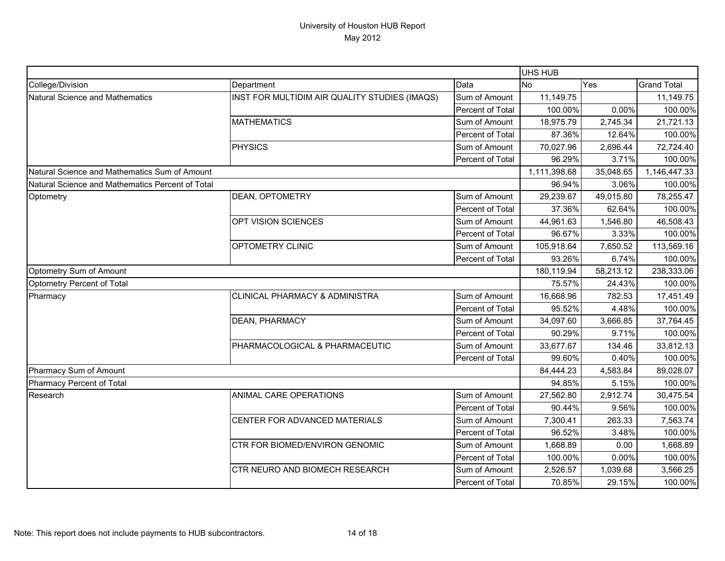|                                                  |                                               | UHS HUB          |              |           |                    |
|--------------------------------------------------|-----------------------------------------------|------------------|--------------|-----------|--------------------|
| College/Division                                 | Department                                    | Data             | <b>No</b>    | Yes       | <b>Grand Total</b> |
| Natural Science and Mathematics                  | INST FOR MULTIDIM AIR QUALITY STUDIES (IMAQS) | Sum of Amount    | 11,149.75    |           | 11,149.75          |
|                                                  |                                               | Percent of Total | 100.00%      | 0.00%     | 100.00%            |
|                                                  | <b>MATHEMATICS</b>                            | Sum of Amount    | 18,975.79    | 2,745.34  | 21,721.13          |
|                                                  |                                               | Percent of Total | 87.36%       | 12.64%    | 100.00%            |
|                                                  | <b>PHYSICS</b>                                | Sum of Amount    | 70,027.96    | 2,696.44  | 72,724.40          |
|                                                  |                                               | Percent of Total | 96.29%       | 3.71%     | 100.00%            |
| Natural Science and Mathematics Sum of Amount    |                                               |                  | 1,111,398.68 | 35,048.65 | 1,146,447.33       |
| Natural Science and Mathematics Percent of Total |                                               |                  | 96.94%       | 3.06%     | 100.00%            |
| Optometry                                        | DEAN, OPTOMETRY                               | Sum of Amount    | 29,239.67    | 49,015.80 | 78,255.47          |
|                                                  |                                               | Percent of Total | 37.36%       | 62.64%    | 100.00%            |
|                                                  | OPT VISION SCIENCES                           | Sum of Amount    | 44,961.63    | 1,546.80  | 46,508.43          |
|                                                  |                                               | Percent of Total | 96.67%       | 3.33%     | 100.00%            |
|                                                  | OPTOMETRY CLINIC                              | Sum of Amount    | 105,918.64   | 7,650.52  | 113,569.16         |
|                                                  |                                               | Percent of Total | 93.26%       | 6.74%     | 100.00%            |
| Optometry Sum of Amount                          |                                               |                  | 180,119.94   | 58,213.12 | 238,333.06         |
| Optometry Percent of Total                       |                                               | 75.57%           | 24.43%       | 100.00%   |                    |
| Pharmacy                                         | <b>CLINICAL PHARMACY &amp; ADMINISTRA</b>     | Sum of Amount    | 16,668.96    | 782.53    | 17,451.49          |
|                                                  |                                               | Percent of Total | 95.52%       | 4.48%     | 100.00%            |
|                                                  | DEAN, PHARMACY                                | Sum of Amount    | 34,097.60    | 3,666.85  | 37,764.45          |
|                                                  |                                               | Percent of Total | 90.29%       | 9.71%     | 100.00%            |
|                                                  | PHARMACOLOGICAL & PHARMACEUTIC                | Sum of Amount    | 33,677.67    | 134.46    | 33,812.13          |
|                                                  |                                               | Percent of Total | 99.60%       | 0.40%     | 100.00%            |
| Pharmacy Sum of Amount                           |                                               |                  | 84,444.23    | 4,583.84  | 89,028.07          |
| Pharmacy Percent of Total                        |                                               |                  | 94.85%       | 5.15%     | 100.00%            |
| Research                                         | ANIMAL CARE OPERATIONS                        | Sum of Amount    | 27,562.80    | 2,912.74  | 30,475.54          |
|                                                  |                                               | Percent of Total | 90.44%       | 9.56%     | 100.00%            |
|                                                  | CENTER FOR ADVANCED MATERIALS                 | Sum of Amount    | 7,300.41     | 263.33    | 7,563.74           |
|                                                  |                                               | Percent of Total | 96.52%       | 3.48%     | 100.00%            |
|                                                  | CTR FOR BIOMED/ENVIRON GENOMIC                | Sum of Amount    | 1,668.89     | 0.00      | 1,668.89           |
|                                                  |                                               | Percent of Total | 100.00%      | 0.00%     | 100.00%            |
|                                                  | CTR NEURO AND BIOMECH RESEARCH                | Sum of Amount    | 2,526.57     | 1,039.68  | 3,566.25           |
|                                                  |                                               | Percent of Total | 70.85%       | 29.15%    | 100.00%            |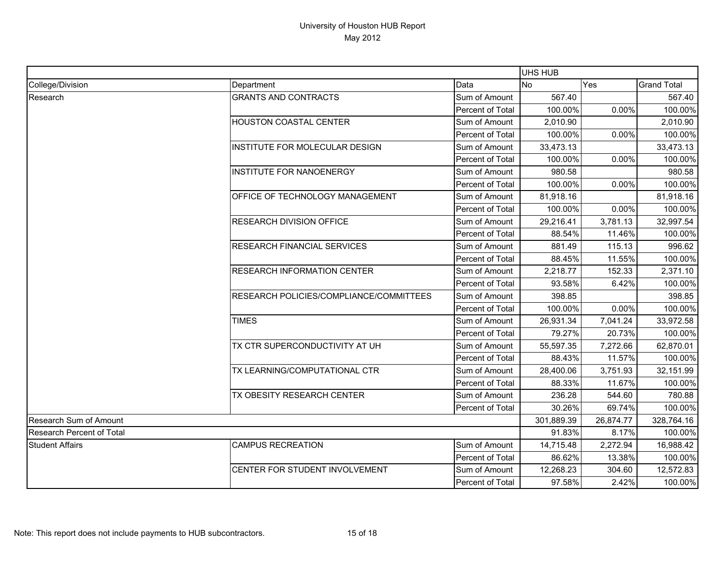|                           |                                         | UHS HUB                 |           |            |                    |
|---------------------------|-----------------------------------------|-------------------------|-----------|------------|--------------------|
| College/Division          | Department                              | Data                    | <b>No</b> | Yes        | <b>Grand Total</b> |
| Research                  | <b>GRANTS AND CONTRACTS</b>             | Sum of Amount           | 567.40    |            | 567.40             |
|                           |                                         | Percent of Total        | 100.00%   | 0.00%      | 100.00%            |
|                           | <b>HOUSTON COASTAL CENTER</b>           | Sum of Amount           | 2,010.90  |            | 2,010.90           |
|                           |                                         | Percent of Total        | 100.00%   | 0.00%      | 100.00%            |
|                           | INSTITUTE FOR MOLECULAR DESIGN          | Sum of Amount           | 33,473.13 |            | 33,473.13          |
|                           |                                         | Percent of Total        | 100.00%   | 0.00%      | 100.00%            |
|                           | <b>INSTITUTE FOR NANOENERGY</b>         | Sum of Amount           | 980.58    |            | 980.58             |
|                           |                                         | Percent of Total        | 100.00%   | $0.00\%$   | 100.00%            |
|                           | OFFICE OF TECHNOLOGY MANAGEMENT         | Sum of Amount           | 81,918.16 |            | 81,918.16          |
|                           |                                         | Percent of Total        | 100.00%   | 0.00%      | 100.00%            |
|                           | <b>RESEARCH DIVISION OFFICE</b>         | Sum of Amount           | 29,216.41 | 3,781.13   | 32,997.54          |
|                           |                                         | <b>Percent of Total</b> | 88.54%    | 11.46%     | 100.00%            |
|                           | <b>RESEARCH FINANCIAL SERVICES</b>      | Sum of Amount           | 881.49    | 115.13     | 996.62             |
|                           |                                         | Percent of Total        | 88.45%    | 11.55%     | 100.00%            |
|                           | <b>RESEARCH INFORMATION CENTER</b>      | Sum of Amount           | 2,218.77  | 152.33     | 2,371.10           |
|                           |                                         | Percent of Total        | 93.58%    | 6.42%      | 100.00%            |
|                           | RESEARCH POLICIES/COMPLIANCE/COMMITTEES | Sum of Amount           | 398.85    |            | 398.85             |
|                           |                                         | Percent of Total        | 100.00%   | 0.00%      | 100.00%            |
|                           | <b>TIMES</b>                            | Sum of Amount           | 26,931.34 | 7,041.24   | 33,972.58          |
|                           |                                         | Percent of Total        | 79.27%    | 20.73%     | 100.00%            |
|                           | TX CTR SUPERCONDUCTIVITY AT UH          | Sum of Amount           | 55,597.35 | 7,272.66   | 62,870.01          |
|                           |                                         | Percent of Total        | 88.43%    | 11.57%     | 100.00%            |
|                           | TX LEARNING/COMPUTATIONAL CTR           | Sum of Amount           | 28,400.06 | 3,751.93   | 32,151.99          |
|                           |                                         | Percent of Total        | 88.33%    | 11.67%     | 100.00%            |
|                           | TX OBESITY RESEARCH CENTER              | Sum of Amount           | 236.28    | 544.60     | 780.88             |
|                           |                                         | Percent of Total        | 30.26%    | 69.74%     | 100.00%            |
| Research Sum of Amount    |                                         | 301,889.39              | 26,874.77 | 328,764.16 |                    |
| Research Percent of Total |                                         | 91.83%                  | 8.17%     | 100.00%    |                    |
| <b>Student Affairs</b>    | <b>CAMPUS RECREATION</b>                | Sum of Amount           | 14,715.48 | 2,272.94   | 16,988.42          |
|                           |                                         | Percent of Total        | 86.62%    | 13.38%     | 100.00%            |
|                           | CENTER FOR STUDENT INVOLVEMENT          | Sum of Amount           | 12,268.23 | 304.60     | 12,572.83          |
|                           |                                         | Percent of Total        | 97.58%    | 2.42%      | 100.00%            |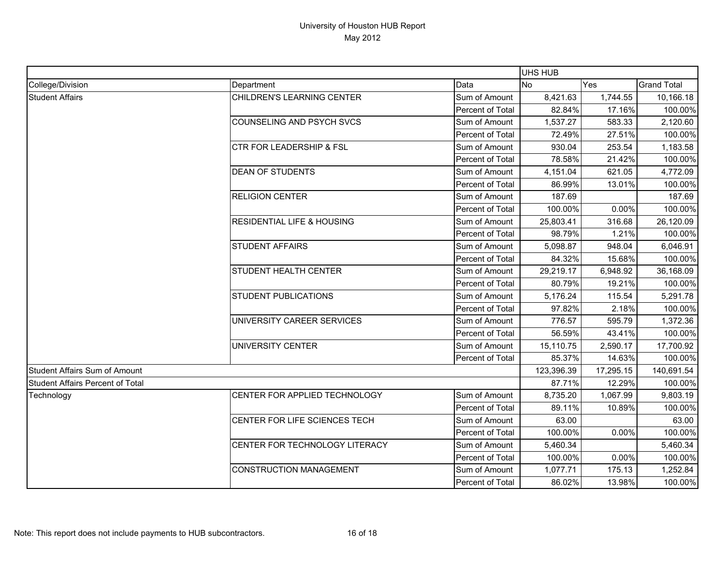|                                         |                                       |                  | <b>UHS HUB</b> |           |                    |
|-----------------------------------------|---------------------------------------|------------------|----------------|-----------|--------------------|
| College/Division                        | Department                            | Data             | <b>No</b>      | Yes       | <b>Grand Total</b> |
| <b>Student Affairs</b>                  | CHILDREN'S LEARNING CENTER            | Sum of Amount    | 8,421.63       | 1,744.55  | 10,166.18          |
|                                         |                                       | Percent of Total | 82.84%         | 17.16%    | 100.00%            |
|                                         | <b>COUNSELING AND PSYCH SVCS</b>      | Sum of Amount    | 1,537.27       | 583.33    | 2,120.60           |
|                                         |                                       | Percent of Total | 72.49%         | 27.51%    | 100.00%            |
|                                         | <b>CTR FOR LEADERSHIP &amp; FSL</b>   | Sum of Amount    | 930.04         | 253.54    | 1,183.58           |
|                                         |                                       | Percent of Total | 78.58%         | 21.42%    | 100.00%            |
|                                         | <b>DEAN OF STUDENTS</b>               | Sum of Amount    | 4,151.04       | 621.05    | 4,772.09           |
|                                         |                                       | Percent of Total | 86.99%         | 13.01%    | 100.00%            |
|                                         | <b>RELIGION CENTER</b>                | Sum of Amount    | 187.69         |           | 187.69             |
|                                         |                                       | Percent of Total | 100.00%        | 0.00%     | 100.00%            |
|                                         | <b>RESIDENTIAL LIFE &amp; HOUSING</b> | Sum of Amount    | 25,803.41      | 316.68    | 26,120.09          |
|                                         |                                       | Percent of Total | 98.79%         | 1.21%     | 100.00%            |
|                                         | <b>STUDENT AFFAIRS</b>                | Sum of Amount    | 5,098.87       | 948.04    | 6,046.91           |
|                                         |                                       | Percent of Total | 84.32%         | 15.68%    | 100.00%            |
|                                         | <b>STUDENT HEALTH CENTER</b>          | Sum of Amount    | 29,219.17      | 6,948.92  | 36,168.09          |
|                                         |                                       | Percent of Total | 80.79%         | 19.21%    | 100.00%            |
|                                         | <b>STUDENT PUBLICATIONS</b>           | Sum of Amount    | 5,176.24       | 115.54    | 5,291.78           |
|                                         |                                       | Percent of Total | 97.82%         | 2.18%     | 100.00%            |
|                                         | UNIVERSITY CAREER SERVICES            | Sum of Amount    | 776.57         | 595.79    | 1,372.36           |
|                                         |                                       | Percent of Total | 56.59%         | 43.41%    | 100.00%            |
|                                         | UNIVERSITY CENTER                     | Sum of Amount    | 15,110.75      | 2,590.17  | 17,700.92          |
|                                         |                                       | Percent of Total | 85.37%         | 14.63%    | 100.00%            |
| <b>Student Affairs Sum of Amount</b>    |                                       |                  | 123,396.39     | 17,295.15 | 140,691.54         |
| <b>Student Affairs Percent of Total</b> |                                       |                  | 87.71%         | 12.29%    | 100.00%            |
| Technology                              | CENTER FOR APPLIED TECHNOLOGY         | Sum of Amount    | 8,735.20       | 1,067.99  | 9,803.19           |
|                                         |                                       | Percent of Total | 89.11%         | 10.89%    | 100.00%            |
|                                         | CENTER FOR LIFE SCIENCES TECH         | Sum of Amount    | 63.00          |           | 63.00              |
|                                         |                                       | Percent of Total | 100.00%        | 0.00%     | 100.00%            |
|                                         | CENTER FOR TECHNOLOGY LITERACY        | Sum of Amount    | 5,460.34       |           | 5,460.34           |
|                                         |                                       | Percent of Total | 100.00%        | 0.00%     | 100.00%            |
|                                         | <b>CONSTRUCTION MANAGEMENT</b>        | Sum of Amount    | 1,077.71       | 175.13    | 1,252.84           |
|                                         |                                       | Percent of Total | 86.02%         | 13.98%    | 100.00%            |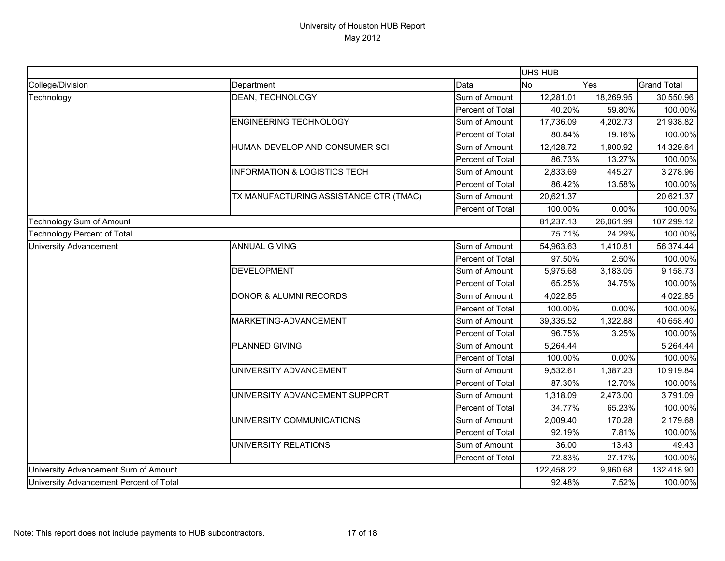|                                         |                                         |                  | <b>UHS HUB</b> |            |                    |
|-----------------------------------------|-----------------------------------------|------------------|----------------|------------|--------------------|
| College/Division                        | Department                              | Data             | <b>No</b>      | Yes        | <b>Grand Total</b> |
| Technology                              | DEAN, TECHNOLOGY                        | Sum of Amount    | 12,281.01      | 18,269.95  | 30,550.96          |
|                                         |                                         | Percent of Total | 40.20%         | 59.80%     | 100.00%            |
|                                         | <b>ENGINEERING TECHNOLOGY</b>           | Sum of Amount    | 17,736.09      | 4,202.73   | 21,938.82          |
|                                         |                                         | Percent of Total | 80.84%         | 19.16%     | 100.00%            |
|                                         | HUMAN DEVELOP AND CONSUMER SCI          | Sum of Amount    | 12,428.72      | 1,900.92   | 14,329.64          |
|                                         |                                         | Percent of Total | 86.73%         | 13.27%     | 100.00%            |
|                                         | <b>INFORMATION &amp; LOGISTICS TECH</b> | Sum of Amount    | 2,833.69       | 445.27     | 3,278.96           |
|                                         |                                         | Percent of Total | 86.42%         | 13.58%     | 100.00%            |
|                                         | TX MANUFACTURING ASSISTANCE CTR (TMAC)  | Sum of Amount    | 20,621.37      |            | 20,621.37          |
|                                         |                                         | Percent of Total | 100.00%        | 0.00%      | 100.00%            |
| Technology Sum of Amount                |                                         | 81,237.13        | 26,061.99      | 107,299.12 |                    |
| <b>Technology Percent of Total</b>      |                                         |                  | 75.71%         | 24.29%     | 100.00%            |
| <b>University Advancement</b>           | <b>ANNUAL GIVING</b>                    | Sum of Amount    | 54,963.63      | 1,410.81   | 56,374.44          |
|                                         |                                         | Percent of Total | 97.50%         | 2.50%      | 100.00%            |
|                                         | <b>DEVELOPMENT</b>                      | Sum of Amount    | 5,975.68       | 3,183.05   | 9,158.73           |
|                                         |                                         | Percent of Total | 65.25%         | 34.75%     | 100.00%            |
|                                         | <b>DONOR &amp; ALUMNI RECORDS</b>       | Sum of Amount    | 4,022.85       |            | 4,022.85           |
|                                         |                                         | Percent of Total | 100.00%        | 0.00%      | 100.00%            |
|                                         | MARKETING-ADVANCEMENT                   | Sum of Amount    | 39,335.52      | 1,322.88   | 40,658.40          |
|                                         |                                         | Percent of Total | 96.75%         | 3.25%      | 100.00%            |
|                                         | PLANNED GIVING                          | Sum of Amount    | 5,264.44       |            | 5,264.44           |
|                                         |                                         | Percent of Total | 100.00%        | 0.00%      | 100.00%            |
|                                         | UNIVERSITY ADVANCEMENT                  | Sum of Amount    | 9,532.61       | 1,387.23   | 10,919.84          |
|                                         |                                         | Percent of Total | 87.30%         | 12.70%     | 100.00%            |
|                                         | UNIVERSITY ADVANCEMENT SUPPORT          | Sum of Amount    | 1,318.09       | 2,473.00   | 3,791.09           |
|                                         |                                         | Percent of Total | 34.77%         | 65.23%     | 100.00%            |
|                                         | UNIVERSITY COMMUNICATIONS               | Sum of Amount    | 2,009.40       | 170.28     | 2,179.68           |
|                                         |                                         | Percent of Total | 92.19%         | 7.81%      | 100.00%            |
|                                         | UNIVERSITY RELATIONS                    | Sum of Amount    | 36.00          | 13.43      | 49.43              |
|                                         |                                         | Percent of Total | 72.83%         | 27.17%     | 100.00%            |
| University Advancement Sum of Amount    |                                         | 122,458.22       | 9,960.68       | 132,418.90 |                    |
| University Advancement Percent of Total |                                         |                  | 92.48%         | 7.52%      | 100.00%            |